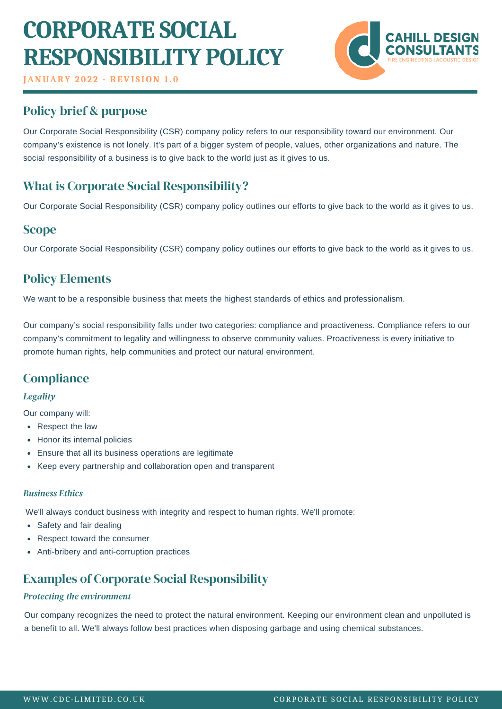# **CORPORATE SOCIAL RESPONSIBILITY POLICY**

**JANUARY 2 0 2 2 - REVI S ION 1 . 0**

# Policy brief & purpose

Our Corporate Social Responsibility (CSR) company policy refers to our responsibility toward our environment. Our company's existence is not lonely. It's part of a bigger system of people, [values](https://resources.workable.com/values-based-interview-questions), other organizations and nature. The social responsibility of a business is to give back to the world just as it gives to us.

# What is Corporate Social Responsibility?

Our Corporate Social Responsibility (CSR) company policy outlines our efforts to give back to the world as it gives to us.

## **Scope**

Our Corporate Social Responsibility (CSR) company policy outlines our efforts to give back to the world as it gives to us.

## Policy Elements

We want to be a responsible business that meets the highest standards of ethics and professionalism.

Our company's social responsibility falls under two categories: compliance and proactiveness. Compliance refers to our company's commitment to legality and willingness to observe community values. Proactiveness is every initiative to promote human rights, help communities and protect our natural environment.

## **Compliance**

#### *Legality*

Our company will:

- Respect the law
- Honor its internal policies
- Ensure that all its business operations are legitimate
- Keep every partnership and collaboration open and transparent

#### *Business Ethics*

We'll always conduct business with integrity and respect to human rights. We'll promote:

- Safety and fair dealing
- Respect toward the consumer
- Anti-bribery and anti-corruption practices

## Examples of Corporate Social Responsibility

#### *Protecting the environment*

Our company recognizes the need to protect the natural environment. Keeping our environment clean and unpolluted is a benefit to all. We'll always follow best practices when disposing garbage and using chemical substances.